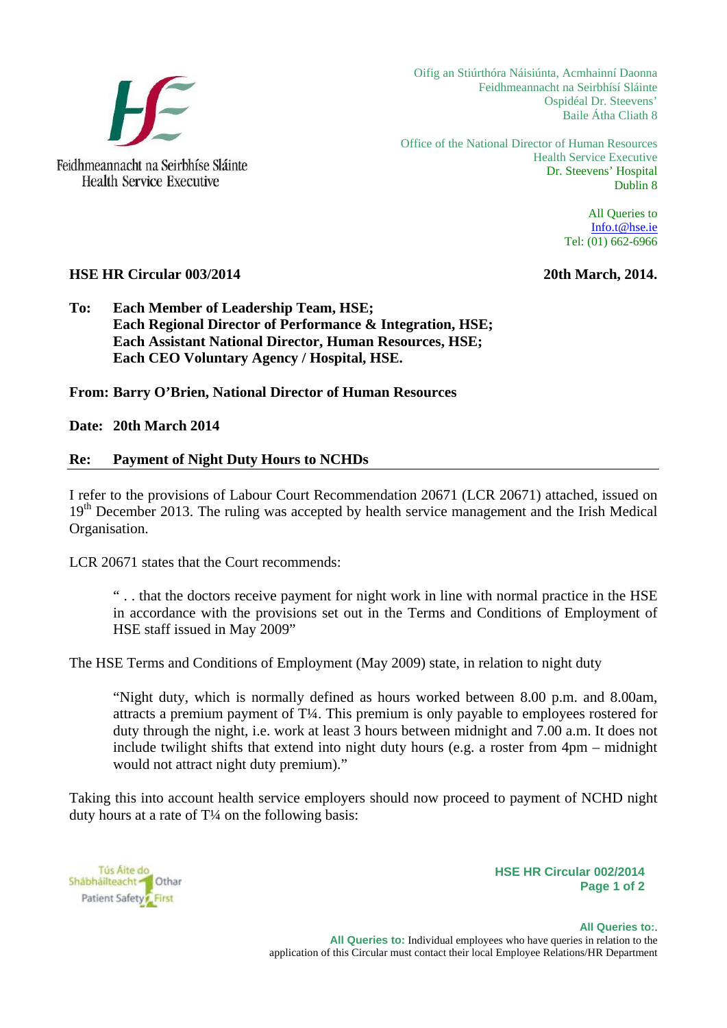

**Health Service Executive** 

Oifig an Stiúrthóra Náisiúnta, Acmhainní Daonna Feidhmeannacht na Seirbhísí Sláinte Ospidéal Dr. Steevens' Baile Átha Cliath 8

Office of the National Director of Human Resources Health Service Executive Dr. Steevens' Hospital Dublin 8

> All Queries to Info.t@hse.ie Tel: (01) 662-6966

## **HSE HR Circular 003/2014** 2014. **2016** 2014.

**To: Each Member of Leadership Team, HSE; Each Regional Director of Performance & Integration, HSE; Each Assistant National Director, Human Resources, HSE; Each CEO Voluntary Agency / Hospital, HSE.** 

**From: Barry O'Brien, National Director of Human Resources** 

**Date: 20th March 2014** 

## **Re: Payment of Night Duty Hours to NCHDs**

I refer to the provisions of Labour Court Recommendation 20671 (LCR 20671) attached, issued on 19<sup>th</sup> December 2013. The ruling was accepted by health service management and the Irish Medical Organisation.

LCR 20671 states that the Court recommends:

" . . that the doctors receive payment for night work in line with normal practice in the HSE in accordance with the provisions set out in the Terms and Conditions of Employment of HSE staff issued in May 2009"

The HSE Terms and Conditions of Employment (May 2009) state, in relation to night duty

"Night duty, which is normally defined as hours worked between 8.00 p.m. and 8.00am, attracts a premium payment of T¼. This premium is only payable to employees rostered for duty through the night, i.e. work at least 3 hours between midnight and 7.00 a.m. It does not include twilight shifts that extend into night duty hours (e.g. a roster from 4pm – midnight would not attract night duty premium)."

Taking this into account health service employers should now proceed to payment of NCHD night duty hours at a rate of  $T<sup>1</sup>/<sub>4</sub>$  on the following basis:

Tús Aite do Shabhailteacht <sup>1</sup> Othar Patient Safety First

**HSE HR Circular 002/2014 Page 1 of 2**

 **All Queries to:**. **All Queries to:** Individual employees who have queries in relation to the application of this Circular must contact their local Employee Relations/HR Department